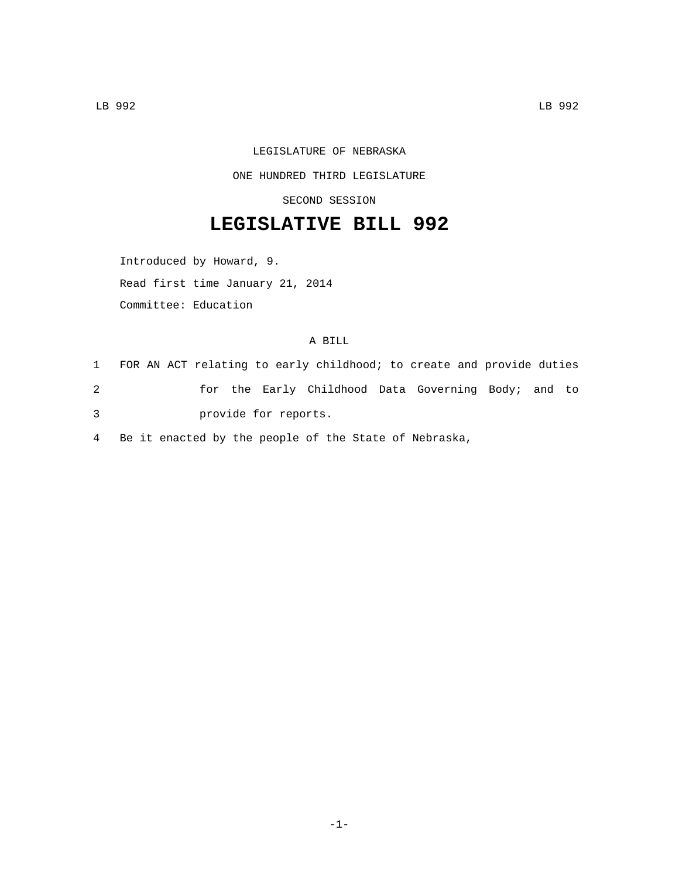## LEGISLATURE OF NEBRASKA

## ONE HUNDRED THIRD LEGISLATURE

SECOND SESSION

## **LEGISLATIVE BILL 992**

Introduced by Howard, 9.

Read first time January 21, 2014

Committee: Education

## A BILL

1 FOR AN ACT relating to early childhood; to create and provide duties

- 2 for the Early Childhood Data Governing Body; and to provide for reports.3
- 4 Be it enacted by the people of the State of Nebraska,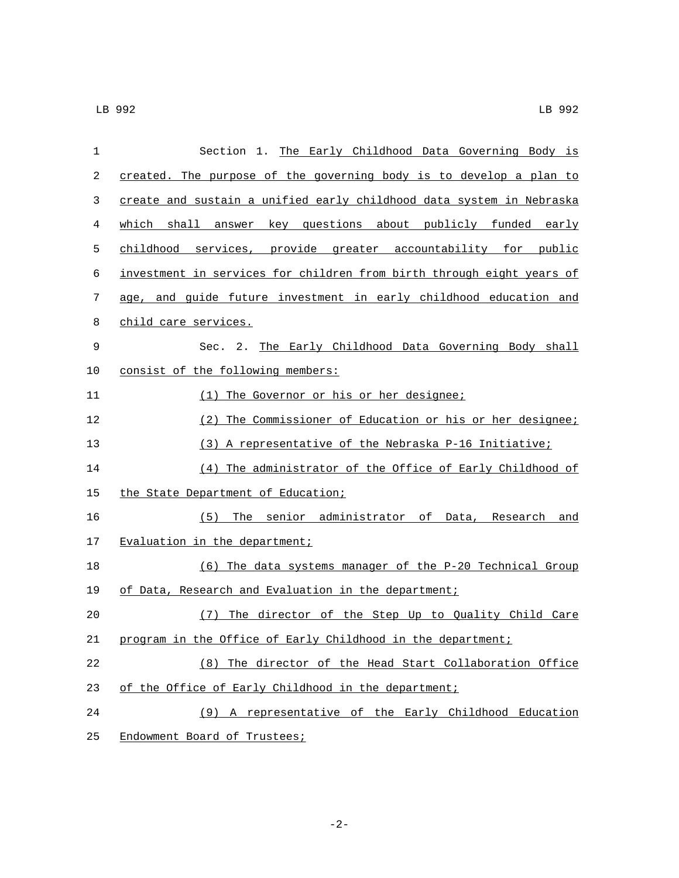| 1  | Section 1. The Early Childhood Data Governing Body is                 |
|----|-----------------------------------------------------------------------|
| 2  | created. The purpose of the governing body is to develop a plan to    |
| 3  | create and sustain a unified early childhood data system in Nebraska  |
| 4  | which shall answer key questions about publicly funded early          |
| 5  | childhood services, provide greater accountability for public         |
| 6  | investment in services for children from birth through eight years of |
| 7  | age, and quide future investment in early childhood education and     |
| 8  | <u>child care services.</u>                                           |
| 9  | Sec. 2. The Early Childhood Data Governing Body shall                 |
| 10 | consist of the following members:                                     |
| 11 | The Governor or his or her designee;<br>(1)                           |
| 12 | (2) The Commissioner of Education or his or her designee;             |
| 13 | (3) A representative of the Nebraska P-16 Initiative;                 |
| 14 | (4) The administrator of the Office of Early Childhood of             |
| 15 | the State Department of Education;                                    |
| 16 | The senior administrator of Data, Research and<br>(5)                 |
| 17 | Evaluation in the department;                                         |
| 18 | (6) The data systems manager of the P-20 Technical Group              |
| 19 | of Data, Research and Evaluation in the department;                   |
| 20 | The director of the Step Up to Quality Child Care<br>(7)              |
| 21 | program in the Office of Early Childhood in the department;           |
| 22 | (8) The director of the Head Start Collaboration Office               |
| 23 | of the Office of Early Childhood in the department;                   |
| 24 | (9) A representative of the Early Childhood Education                 |
| 25 | Endowment Board of Trustees;                                          |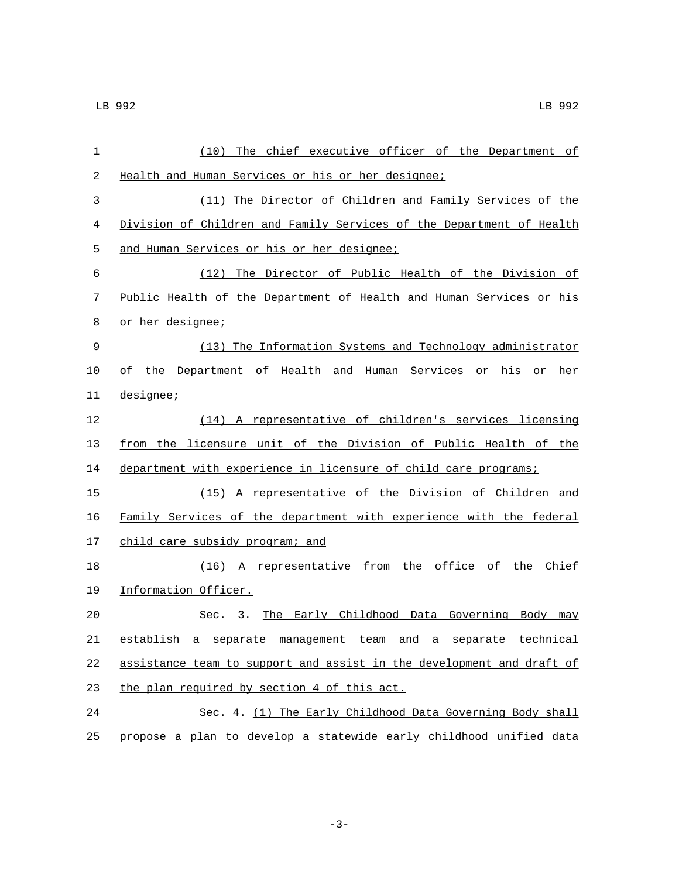| $\mathbf 1$ | (10) The chief executive officer of the Department of                 |
|-------------|-----------------------------------------------------------------------|
| 2           | Health and Human Services or his or her designee;                     |
| 3           | (11) The Director of Children and Family Services of the              |
| 4           | Division of Children and Family Services of the Department of Health  |
| 5           | and Human Services or his or her designee;                            |
| 6           | (12) The Director of Public Health of the Division of                 |
| 7           | Public Health of the Department of Health and Human Services or his   |
| 8           | or her designee;                                                      |
| 9           | (13) The Information Systems and Technology administrator             |
| 10          | of the Department of Health and Human Services or his or her          |
| 11          | designee;                                                             |
| 12          | (14) A representative of children's services licensing                |
| 13          | from the licensure unit of the Division of Public Health of the       |
| 14          | department with experience in licensure of child care programs;       |
| 15          | (15) A representative of the Division of Children and                 |
| 16          | Family Services of the department with experience with the federal    |
| 17          | child care subsidy program; and                                       |
| 18          | (16) A representative from the office of the Chief                    |
| 19          | Information Officer.                                                  |
| 20          | The Early Childhood Data Governing Body may<br>Sec. 3.                |
| 21          | establish a separate management team and a separate technical         |
| 22          | assistance team to support and assist in the development and draft of |
| 23          | the plan required by section 4 of this act.                           |
| 24          | Sec. 4. (1) The Early Childhood Data Governing Body shall             |
| 25          | propose a plan to develop a statewide early childhood unified data    |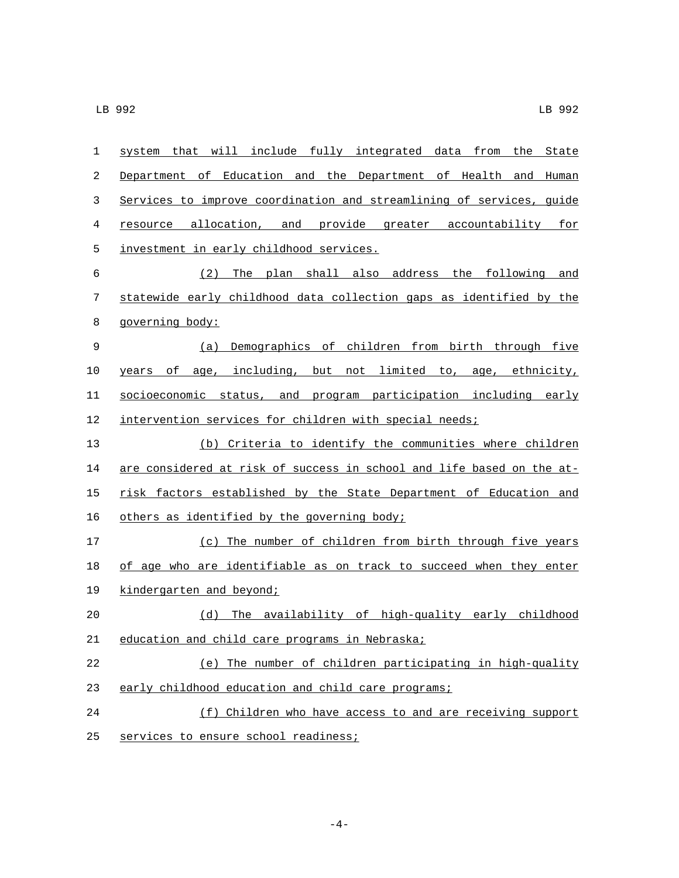| $\mathbf 1$ | system that will include fully integrated data from the State         |
|-------------|-----------------------------------------------------------------------|
| 2           | Department of Education and the Department of Health and Human        |
| 3           | Services to improve coordination and streamlining of services, guide  |
| 4           | resource allocation, and provide greater accountability for           |
| 5           | investment in early childhood services.                               |
| $\epsilon$  | (2) The plan shall also address the following and                     |
| 7           | statewide early childhood data collection gaps as identified by the   |
| 8           | governing body:                                                       |
| 9           | Demographics of children from birth through five<br>(a)               |
| 10          | years of age, including, but not limited to, age, ethnicity,          |
| 11          | socioeconomic status, and program participation including early       |
| 12          | intervention services for children with special needs;                |
| 13          | (b) Criteria to identify the communities where children               |
| 14          | are considered at risk of success in school and life based on the at- |
| 15          | risk factors established by the State Department of Education and     |
| 16          | others as identified by the governing body;                           |
| 17          | (c) The number of children from birth through five years              |
| 18          | of age who are identifiable as on track to succeed when they enter    |
| 19          | kindergarten and beyond;                                              |
| 20          | (d) The availability of high-quality early childhood                  |
| 21          | education and child care programs in Nebraska;                        |
| 22          | (e) The number of children participating in high-quality              |
| 23          | early childhood education and child care programs;                    |
| 24          | (f) Children who have access to and are receiving support             |
| 25          | services to ensure school readiness;                                  |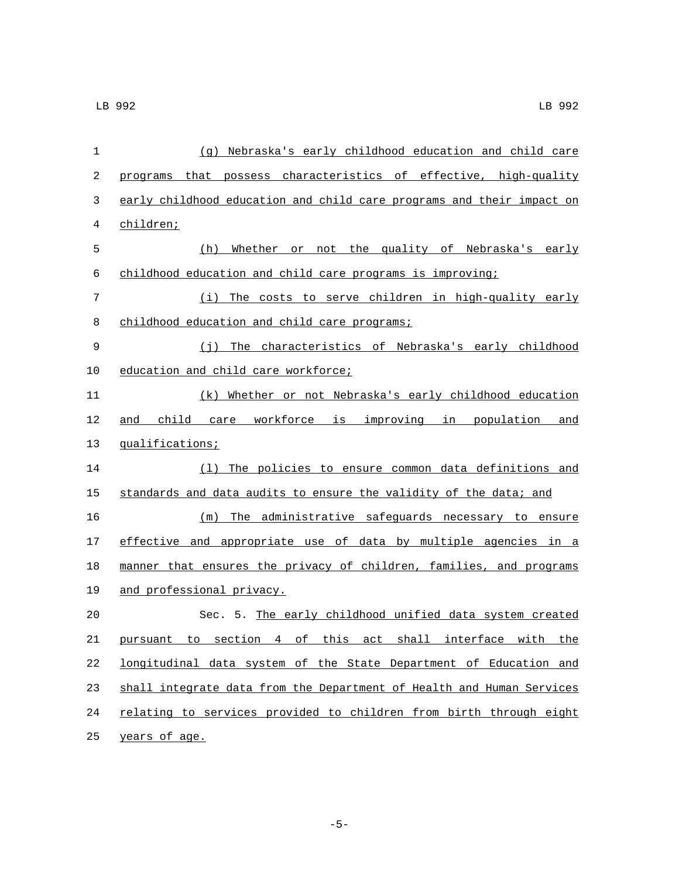| $\mathbf 1$ | (g) Nebraska's early childhood education and child care                 |
|-------------|-------------------------------------------------------------------------|
| 2           | that possess characteristics of effective, high-quality<br>programs     |
| 3           | early childhood education and child care programs and their impact on   |
| 4           | children;                                                               |
| 5           | Whether or not the quality of Nebraska's early<br>(h)                   |
| 6           | childhood education and child care programs is improving;               |
| 7           | (i) The costs to serve children in high-quality early                   |
| 8           | childhood education and child care programs;                            |
| 9           | (j) The characteristics of Nebraska's early childhood                   |
| 10          | education and child care workforce;                                     |
| 11          | Whether or not Nebraska's early childhood education<br>(k)              |
| 12          | and child care workforce is improving in population and                 |
| 13          | qualifications;                                                         |
| 14          | The policies to ensure common data definitions and<br>(1)               |
| 15          | standards and data audits to ensure the validity of the data; and       |
| 16          | (m) The administrative safequards necessary to ensure                   |
| 17          | effective and appropriate use of data by multiple agencies in a         |
| 18          | manner that ensures the privacy of children, families, and programs     |
| 19          | and professional privacy.                                               |
| 20          | Sec. 5. The early childhood unified data system created                 |
| 21          | 4 of this act shall interface with<br>pursuant to section<br><u>the</u> |
| 22          | longitudinal data system of the State Department of Education and       |
| 23          | shall integrate data from the Department of Health and Human Services   |
| 24          | relating to services provided to children from birth through eight      |
| 25          | years of age.                                                           |

-5-